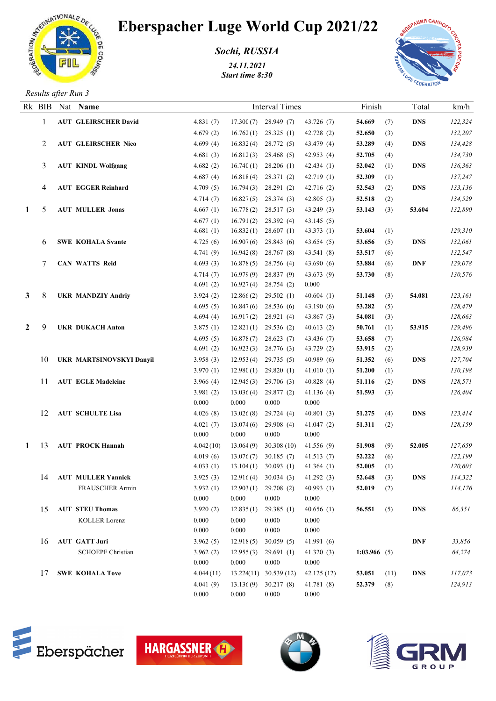

## Eberspacher Luge World Cup 2021/22

*Sochi, RUSSIA*

*24.11.2021 Start time 8:30*



*Results after Run 3*

|              |    |  | Rk BIB Nat Name<br><b>AUT GLEIRSCHER David</b> | <b>Interval Times</b> |                |                        |                | Finish         |      | Total      | km/h    |
|--------------|----|--|------------------------------------------------|-----------------------|----------------|------------------------|----------------|----------------|------|------------|---------|
|              | -1 |  |                                                | 4.831(7)              |                | $17.300(7)$ 28.949 (7) | 43.726(7)      | 54.669         | (7)  | <b>DNS</b> | 122,324 |
|              |    |  |                                                | 4.679(2)              | 16.762(1)      | 28.325(1)              | 42.728 (2)     | 52.650         | (3)  |            | 132,207 |
|              | 2  |  | <b>AUT GLEIRSCHER Nico</b>                     | 4.699(4)              | 16.832(4)      | 28.772 (5)             | 43.479 (4)     | 53.289         | (4)  | <b>DNS</b> | 134,428 |
|              |    |  |                                                | 4.681(3)              | 16.812(3)      | 28.468 (5)             | 42.953 (4)     | 52.705         | (4)  |            | 134,730 |
|              | 3  |  | <b>AUT KINDL Wolfgang</b>                      | 4.682 $(2)$           | 16.740(1)      | 28.206(1)              | 42.434(1)      | 52.042         | (1)  | <b>DNS</b> | 136,363 |
|              |    |  |                                                | 4.687(4)              | 16.818(4)      | 28.371(2)              | 42.719(1)      | 52.309         | (1)  |            | 137,247 |
|              | 4  |  | <b>AUT EGGER Reinhard</b>                      | 4.709(5)              | 16.794(3)      | 28.291(2)              | 42.716(2)      | 52.543         | (2)  | <b>DNS</b> | 133,136 |
|              |    |  |                                                | 4.714(7)              | 16.827(5)      | 28.374(3)              | 42.805(3)      | 52.518         | (2)  |            | 134,529 |
| 1            | 5  |  | <b>AUT MULLER Jonas</b>                        | 4.667(1)              | 16.778(2)      | 28.517(3)              | 43.249(3)      | 53.143         | (3)  | 53.604     | 132,890 |
|              |    |  |                                                | 4.677(1)              | 16.791(2)      | 28.392 (4)             | 43.145(5)      |                |      |            |         |
|              |    |  |                                                | 4.681(1)              | 16.832(1)      | 28.607(1)              | 43.373(1)      | 53.604         | (1)  |            | 129,310 |
|              | 6  |  | <b>SWE KOHALA Svante</b>                       | 4.725(6)              | 16.907(6)      | 28.843 (6)             | 43.654(5)      | 53.656         | (5)  | <b>DNS</b> | 132,061 |
|              |    |  |                                                | 4.741(9)              | 16.942(8)      | 28.767 (8)             | 43.541 (8)     | 53.517         | (6)  |            | 132,547 |
|              | 7  |  | <b>CAN WATTS Reid</b>                          | 4.693(3)              | 16.878(5)      | 28.756 (4)             | 43.690(6)      | 53.884         | (6)  | <b>DNF</b> | 129,078 |
|              |    |  |                                                | 4.714(7)              | 16.979(9)      | 28.837 (9)             | 43.673 (9)     | 53.730         | (8)  |            | 130,576 |
|              |    |  |                                                | 4.691(2)              | 16.927(4)      | 28.754(2)              | 0.000          |                |      |            |         |
| 3            | 8  |  | <b>UKR MANDZIY Andriy</b>                      | 3.924(2)              | 12.866(2)      | 29.502(1)              | 40.604(1)      | 51.148         | (3)  | 54.081     | 123,161 |
|              |    |  |                                                | 4.695(5)              | 16.847(6)      | 28.536 (6)             | 43.190(6)      | 53.282         | (5)  |            | 128,479 |
|              |    |  |                                                | 4.694(4)              | 16.917(2)      | 28.921(4)              | 43.867(3)      | 54.081         | (3)  |            | 128,663 |
| 2            | 9  |  | <b>UKR DUKACH Anton</b>                        | 3.875(1)              | 12.821(1)      | 29.536 (2)             | 40.613(2)      | 50.761         | (1)  | 53.915     | 129,496 |
|              |    |  |                                                | 4.695(5)              | 16.878(7)      | 28.623(7)              | 43.436 (7)     | 53.658         | (7)  |            | 126,984 |
|              |    |  |                                                | 4.691(2)              | 16.923(3)      | 28.776 (3)             | 43.729 (2)     | 53.915         | (2)  |            | 128,939 |
|              | 10 |  | <b>UKR MARTSINOVSKYI Danyil</b>                | 3.958(3)              | 12.953(4)      | 29.735(5)              | 40.989(6)      | 51.352         | (6)  | <b>DNS</b> | 127,704 |
|              |    |  |                                                | 3.970(1)              | 12.980(1)      | 29.820(1)              | 41.010(1)      | 51.200         | (1)  |            | 130,198 |
|              | 11 |  | <b>AUT EGLE Madeleine</b>                      | 3.966 $(4)$           | 12.945(3)      | 29.706 (3)             | 40.828(4)      | 51.116         | (2)  | <b>DNS</b> | 128,571 |
|              |    |  |                                                | 3.981(2)              | 13.036(4)      | 29.877(2)              | 41.136(4)      | 51.593         | (3)  |            | 126,404 |
|              |    |  |                                                | 0.000                 | 0.000          | 0.000                  | 0.000          |                |      |            |         |
|              | 12 |  | <b>AUT SCHULTE Lisa</b>                        | 4.026(8)              | 13.026(8)      | 29.724(4)              | 40.801(3)      | 51.275         | (4)  | <b>DNS</b> | 123,414 |
|              |    |  |                                                | 4.021(7)              | 13.074(6)      | 29.908(4)              | 41.047(2)      | 51.311         | (2)  |            | 128,159 |
|              |    |  |                                                | 0.000                 | 0.000          | 0.000                  | 0.000          |                |      |            |         |
| $\mathbf{1}$ | 13 |  | <b>AUT PROCK Hannah</b>                        | 4.042(10)             | 13.064(9)      | 30.308(10)             | 41.556(9)      | 51.908         | (9)  | 52.005     | 127,659 |
|              |    |  |                                                | 4.019(6)              | 13.076(7)      | 30.185(7)              | 41.513(7)      | 52.222         | (6)  |            | 122,199 |
|              |    |  |                                                | 4.033(1)              |                | $13.104(1)$ 30.093 (1) | 41.364 $(1)$   | 52.005         | (1)  |            | 120,603 |
|              |    |  | 14 AUT MULLER Yannick                          | 3.925(3)              |                | $12.916(4)$ 30.034 (3) | 41.292(3)      | 52.648         | (3)  | <b>DNS</b> | 114,322 |
|              |    |  | <b>FRAUSCHER Armin</b>                         | 3.932(1)              |                | $12.903(1)$ 29.708 (2) | 40.993(1)      | 52.019         | (2)  |            | 114,176 |
|              |    |  | <b>AUT STEU Thomas</b>                         | 0.000<br>3.920(2)     | 0.000          | 0.000                  | 0.000          |                |      | <b>DNS</b> |         |
|              | 15 |  |                                                |                       | 12.835(1)      | 29.385(1)              | 40.656(1)      | 56.551         | (5)  |            | 86,351  |
|              |    |  | KOLLER Lorenz                                  | 0.000<br>0.000        | 0.000<br>0.000 | 0.000<br>0.000         | 0.000<br>0.000 |                |      |            |         |
|              | 16 |  | <b>AUT GATT Juri</b>                           | 3.962(5)              | 12.918(5)      | 30.059(5)              | 41.991(6)      |                |      | <b>DNF</b> | 33,856  |
|              |    |  | <b>SCHOEPF Christian</b>                       | 3.962(2)              | 12.955(3)      | 29.691(1)              | 41.320(3)      | 1:03.966 $(5)$ |      |            | 64,274  |
|              |    |  |                                                | 0.000                 | 0.000          | 0.000                  | 0.000          |                |      |            |         |
|              | 17 |  | <b>SWE KOHALA Tove</b>                         | 4.044(11)             |                | 13.224(11) 30.539 (12) | 42.125(12)     | 53.051         | (11) | <b>DNS</b> | 117,073 |
|              |    |  |                                                | 4.041(9)              | 13.13(9)       | 30.217(8)              | 41.781(8)      | 52.379         | (8)  |            | 124,913 |
|              |    |  |                                                | 0.000                 | 0.000          | 0.000                  | $0.000\,$      |                |      |            |         |
|              |    |  |                                                |                       |                |                        |                |                |      |            |         |